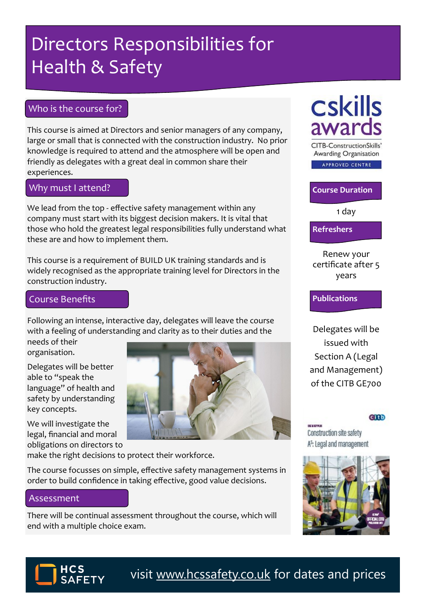# Directors Responsibilities for Health & Safety

### Who is the course for?

This course is aimed at Directors and senior managers of any company, large or small that is connected with the construction industry. No prior knowledge is required to attend and the atmosphere will be open and friendly as delegates with a great deal in common share their experiences.

Why must I attend?

We lead from the top - effective safety management within any company must start with its biggest decision makers. It is vital that those who hold the greatest legal responsibilities fully understand what these are and how to implement them.

This course is a requirement of BUILD UK training standards and is widely recognised as the appropriate training level for Directors in the construction industry.

### Course Benefits

Following an intense, interactive day, delegates will leave the course with a feeling of understanding and clarity as to their duties and the

needs of their organisation.

Delegates will be better able to "speak the language" of health and safety by understanding key concepts.

We will investigate the legal, financial and moral obligations on directors to



make the right decisions to protect their workforce.

The course focusses on simple, effective safety management systems in order to build confidence in taking effective, good value decisions.

### Assessment

There will be continual assessment throughout the course, which will end with a multiple choice exam.

# **Cskills** awards

**CITB-ConstructionSkills'** Awarding Organisation

APPROVED CENTRE

**Course Duration**

1 day

**Refreshers**

Renew your certificate after 5 years

### **Publications**

Delegates will be issued with Section A (Legal and Management) of the CITB GE700

#### **Citb**

Construction site safety A<sup>s</sup>: Legal and management